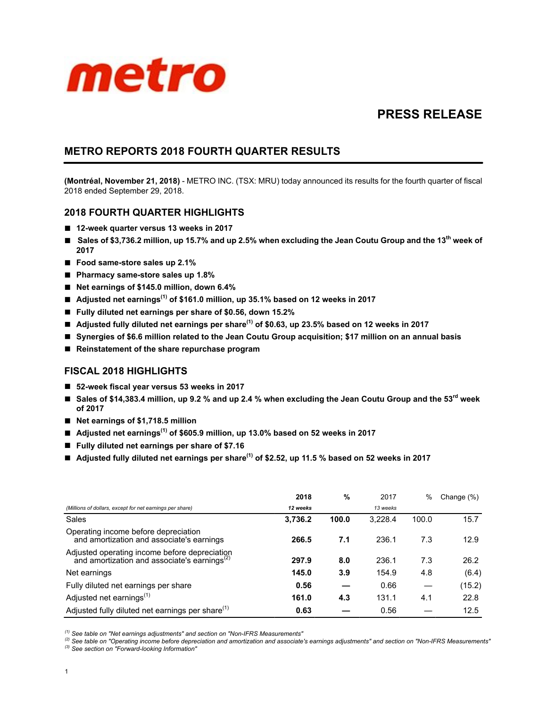

# **PRESS RELEASE**

## **METRO REPORTS 2018 FOURTH QUARTER RESULTS**

**(Montréal, November 21, 2018)** - METRO INC. (TSX: MRU) today announced its results for the fourth quarter of fiscal 2018 ended September 29, 2018.

## **2018 FOURTH QUARTER HIGHLIGHTS**

- **12-week quarter versus 13 weeks in 2017**
- **Sales of \$3,736.2 million, up 15.7% and up 2.5% when excluding the Jean Coutu Group and the 13th week of 2017**
- Food same-store sales up 2.1%
- **Pharmacy same-store sales up 1.8%**
- Net earnings of \$145.0 million, down 6.4%
- Adjusted net earnings<sup>(1)</sup> of \$161.0 million, up 35.1% based on 12 weeks in 2017
- **Fully diluted net earnings per share of \$0.56, down 15.2%**
- Adjusted fully diluted net earnings per share<sup>(1)</sup> of \$0.63, up 23.5% based on 12 weeks in 2017
- **Synergies of \$6.6 million related to the Jean Coutu Group acquisition; \$17 million on an annual basis**
- Reinstatement of the share repurchase program

## **FISCAL 2018 HIGHLIGHTS**

- **52-week fiscal year versus 53 weeks in 2017**
- Sales of \$14,383.4 million, up 9.2 % and up 2.4 % when excluding the Jean Coutu Group and the 53<sup>rd</sup> week **of 2017**
- Net earnings of \$1,718.5 million
- Adjusted net earnings<sup>(1)</sup> of \$605.9 million, up 13.0% based on 52 weeks in 2017
- Fully diluted net earnings per share of \$7.16
- Adjusted fully diluted net earnings per share<sup>(1)</sup> of \$2.52, up 11.5 % based on 52 weeks in 2017

|                                                                                                           | 2018     | %     | 2017     | $\%$  | Change (%) |
|-----------------------------------------------------------------------------------------------------------|----------|-------|----------|-------|------------|
| (Millions of dollars, except for net earnings per share)                                                  | 12 weeks |       | 13 weeks |       |            |
| Sales                                                                                                     | 3,736.2  | 100.0 | 3.228.4  | 100.0 | 15.7       |
| Operating income before depreciation<br>and amortization and associate's earnings                         | 266.5    | 7.1   | 236.1    | 7.3   | 12.9       |
| Adjusted operating income before depreciation<br>and amortization and associate's earnings <sup>(2)</sup> | 297.9    | 8.0   | 236.1    | 7.3   | 26.2       |
| Net earnings                                                                                              | 145.0    | 3.9   | 154.9    | 4.8   | (6.4)      |
| Fully diluted net earnings per share                                                                      | 0.56     |       | 0.66     |       | (15.2)     |
| Adjusted net earnings <sup>(1)</sup>                                                                      | 161.0    | 4.3   | 131.1    | 4.1   | 22.8       |
| Adjusted fully diluted net earnings per share <sup>(1)</sup>                                              | 0.63     |       | 0.56     |       | 12.5       |

*(1) See table on "Net earnings adjustments" and section on "Non-IFRS Measurements"*

*(2) See table on "Operating income before depreciation and amortization and associate's earnings adjustments" and section on "Non-IFRS Measurements" (3) See section on "Forward-looking Information"*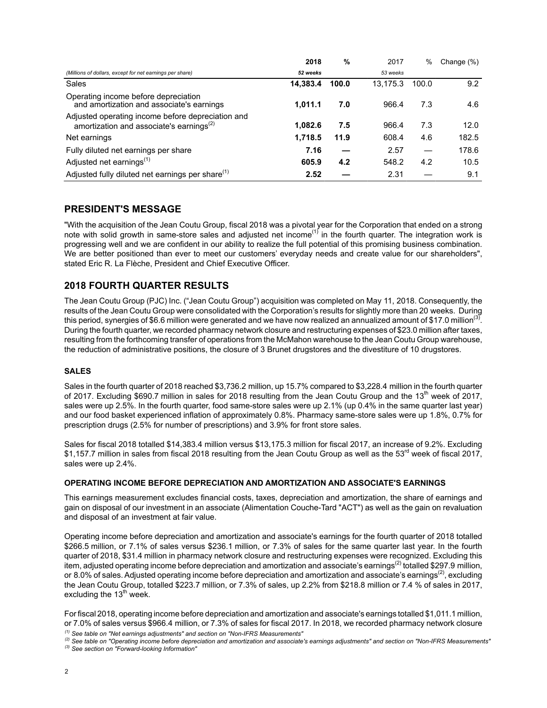|                                                                                                           | 2018     | %     | 2017     | %     | Change (%) |
|-----------------------------------------------------------------------------------------------------------|----------|-------|----------|-------|------------|
| (Millions of dollars, except for net earnings per share)                                                  | 52 weeks |       | 53 weeks |       |            |
| Sales                                                                                                     | 14,383.4 | 100.0 | 13,175.3 | 100.0 | 9.2        |
| Operating income before depreciation<br>and amortization and associate's earnings                         | 1.011.1  | 7.0   | 966.4    | 7.3   | 4.6        |
| Adjusted operating income before depreciation and<br>amortization and associate's earnings <sup>(2)</sup> | 1.082.6  | 7.5   | 966.4    | 7.3   | 12.0       |
| Net earnings                                                                                              | 1,718.5  | 11.9  | 608.4    | 4.6   | 182.5      |
| Fully diluted net earnings per share                                                                      | 7.16     |       | 2.57     |       | 178.6      |
| Adjusted net earnings <sup>(1)</sup>                                                                      | 605.9    | 4.2   | 548.2    | 4.2   | 10.5       |
| Adjusted fully diluted net earnings per share <sup>(1)</sup>                                              | 2.52     |       | 2.31     |       | 9.1        |

## **PRESIDENT'S MESSAGE**

"With the acquisition of the Jean Coutu Group, fiscal 2018 was a pivotal year for the Corporation that ended on a strong note with solid growth in same-store sales and adjusted net income<sup>(1)</sup> in the fourth quarter. The integration work is progressing well and we are confident in our ability to realize the full potential of this promising business combination. We are better positioned than ever to meet our customers' everyday needs and create value for our shareholders", stated Eric R. La Flèche, President and Chief Executive Officer.

## **2018 FOURTH QUARTER RESULTS**

The Jean Coutu Group (PJC) Inc. ("Jean Coutu Group") acquisition was completed on May 11, 2018. Consequently, the results of the Jean Coutu Group were consolidated with the Corporation's results for slightly more than 20 weeks. During this period, synergies of \$6.6 million were generated and we have now realized an annualized amount of \$17.0 million<sup>(3)</sup>. During the fourth quarter, we recorded pharmacy network closure and restructuring expenses of \$23.0 million after taxes, resulting from the forthcoming transfer of operations from the McMahon warehouse to the Jean Coutu Group warehouse, the reduction of administrative positions, the closure of 3 Brunet drugstores and the divestiture of 10 drugstores.

#### **SALES**

Sales in the fourth quarter of 2018 reached \$3,736.2 million, up 15.7% compared to \$3,228.4 million in the fourth quarter of 2017. Excluding \$690.7 million in sales for 2018 resulting from the Jean Coutu Group and the  $13<sup>th</sup>$  week of 2017, sales were up 2.5%. In the fourth quarter, food same-store sales were up 2.1% (up 0.4% in the same quarter last year) and our food basket experienced inflation of approximately 0.8%. Pharmacy same-store sales were up 1.8%, 0.7% for prescription drugs (2.5% for number of prescriptions) and 3.9% for front store sales.

Sales for fiscal 2018 totalled \$14,383.4 million versus \$13,175.3 million for fiscal 2017, an increase of 9.2%. Excluding \$1.157.7 million in sales from fiscal 2018 resulting from the Jean Coutu Group as well as the 53<sup>rd</sup> week of fiscal 2017, sales were up 2.4%.

#### **OPERATING INCOME BEFORE DEPRECIATION AND AMORTIZATION AND ASSOCIATE'S EARNINGS**

This earnings measurement excludes financial costs, taxes, depreciation and amortization, the share of earnings and gain on disposal of our investment in an associate (Alimentation Couche-Tard "ACT") as well as the gain on revaluation and disposal of an investment at fair value.

Operating income before depreciation and amortization and associate's earnings for the fourth quarter of 2018 totalled \$266.5 million, or 7.1% of sales versus \$236.1 million, or 7.3% of sales for the same quarter last year. In the fourth quarter of 2018, \$31.4 million in pharmacy network closure and restructuring expenses were recognized. Excluding this item, adjusted operating income before depreciation and amortization and associate's earnings<sup>(2)</sup> totalled \$297.9 million, or 8.0% of sales. Adjusted operating income before depreciation and amortization and associate's earnings<sup>(2)</sup>, excluding the Jean Coutu Group, totalled \$223.7 million, or 7.3% of sales, up 2.2% from \$218.8 million or 7.4 % of sales in 2017, excluding the  $13<sup>th</sup>$  week.

For fiscal 2018, operating income before depreciation and amortization and associate's earnings totalled \$1,011.1 million, or 7.0% of sales versus \$966.4 million, or 7.3% of sales for fiscal 2017. In 2018, we recorded pharmacy network closure

*(1) See table on "Net earnings adjustments" and section on "Non-IFRS Measurements"*

*<sup>(2)</sup> See table on "Operating income before depreciation and amortization and associate's earnings adjustments" and section on "Non-IFRS Measurements" (3) See section on "Forward-looking Information"*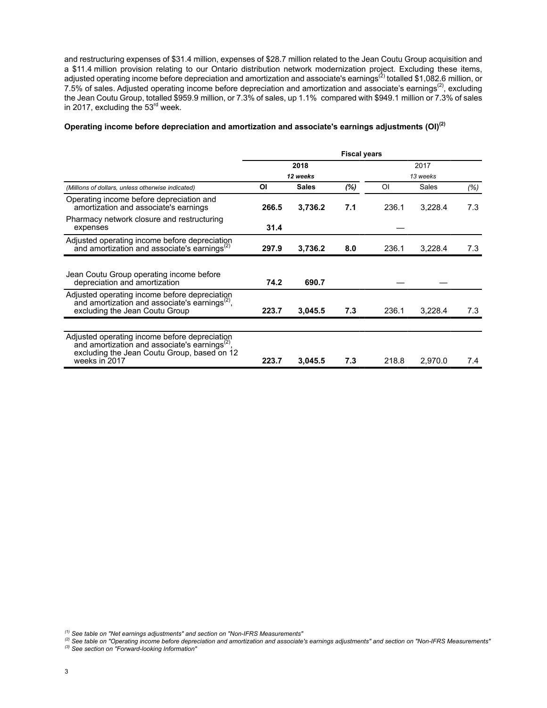and restructuring expenses of \$31.4 million, expenses of \$28.7 million related to the Jean Coutu Group acquisition and a \$11.4 million provision relating to our Ontario distribution network modernization project. Excluding these items, adjusted operating income before depreciation and amortization and associate's earnings<sup>(2)</sup> totalled \$1,082.6 million, or 7.5% of sales. Adjusted operating income before depreciation and amortization and associate's earnings<sup>(2)</sup>, excluding the Jean Coutu Group, totalled \$959.9 million, or 7.3% of sales, up 1.1% compared with \$949.1 million or 7.3% of sales in 2017, excluding the 53<sup>rd</sup> week.

#### **Operating income before depreciation and amortization and associate's earnings adjustments (OI)(2)**

|                                                                                                                                                                       | <b>Fiscal years</b> |              |     |          |              |      |
|-----------------------------------------------------------------------------------------------------------------------------------------------------------------------|---------------------|--------------|-----|----------|--------------|------|
|                                                                                                                                                                       | 2018<br>12 weeks    |              |     |          |              |      |
|                                                                                                                                                                       |                     |              |     | 13 weeks |              |      |
| (Millions of dollars, unless otherwise indicated)                                                                                                                     | ΟI                  | <b>Sales</b> | (%) | ΟI       | <b>Sales</b> | (% ) |
| Operating income before depreciation and<br>amortization and associate's earnings                                                                                     | 266.5               | 3,736.2      | 7.1 | 236.1    | 3,228.4      | 7.3  |
| Pharmacy network closure and restructuring<br>expenses                                                                                                                | 31.4                |              |     |          |              |      |
| Adjusted operating income before depreciation<br>and amortization and associate's earnings $^{(2)}$                                                                   | 297.9               | 3,736.2      | 8.0 | 236.1    | 3,228.4      | 7.3  |
|                                                                                                                                                                       |                     |              |     |          |              |      |
| Jean Coutu Group operating income before<br>depreciation and amortization                                                                                             | 74.2                | 690.7        |     |          |              |      |
| Adjusted operating income before depreciation<br>and amortization and associate's earnings <sup>(2)</sup> ,<br>excluding the Jean Coutu Group                         | 223.7               | 3,045.5      | 7.3 | 236.1    | 3,228.4      | 7.3  |
|                                                                                                                                                                       |                     |              |     |          |              |      |
| Adjusted operating income before depreciation<br>and amortization and associate's earnings $^{(2)}$ ,<br>excluding the Jean Coutu Group, based on 12<br>weeks in 2017 | 223.7               | 3,045.5      | 7.3 | 218.8    | 2,970.0      | 7.4  |

- *(2) See table on "Operating income before depreciation and amortization and associate's earnings adjustments" and section on "Non-IFRS Measurements"*
- *(3) See section on "Forward-looking Information"*

*<sup>(1)</sup> See table on "Net earnings adjustments" and section on "Non-IFRS Measurements"*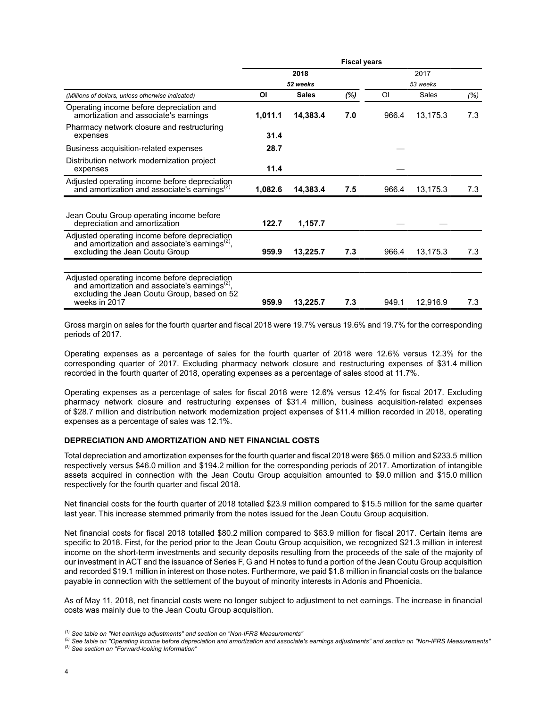|                                                                                                                                                                       | <b>Fiscal years</b> |          |     |          |          |      |
|-----------------------------------------------------------------------------------------------------------------------------------------------------------------------|---------------------|----------|-----|----------|----------|------|
|                                                                                                                                                                       |                     | 2018     |     | 2017     |          |      |
|                                                                                                                                                                       | 52 weeks            |          |     | 53 weeks |          |      |
| (Millions of dollars, unless otherwise indicated)                                                                                                                     | <b>Sales</b><br>ΟI  |          | (%) | $\Omega$ | Sales    | (% ) |
| Operating income before depreciation and<br>amortization and associate's earnings                                                                                     | 1,011.1             | 14,383.4 | 7.0 | 966.4    | 13,175.3 | 7.3  |
| Pharmacy network closure and restructuring<br>expenses                                                                                                                | 31.4                |          |     |          |          |      |
| Business acquisition-related expenses                                                                                                                                 | 28.7                |          |     |          |          |      |
| Distribution network modernization project<br>expenses                                                                                                                | 11.4                |          |     |          |          |      |
| Adjusted operating income before depreciation<br>and amortization and associate's earnings <sup>(2)</sup>                                                             | 1,082.6             | 14,383.4 | 7.5 | 966.4    | 13,175.3 | 7.3  |
| Jean Coutu Group operating income before<br>depreciation and amortization                                                                                             | 122.7               | 1,157.7  |     |          |          |      |
| Adjusted operating income before depreciation<br>and amortization and associate's earnings $^{(2)}$ ,<br>excluding the Jean Coutu Group                               | 959.9               | 13,225.7 | 7.3 | 966.4    | 13,175.3 | 7.3  |
|                                                                                                                                                                       |                     |          |     |          |          |      |
| Adjusted operating income before depreciation<br>and amortization and associate's earnings $^{(2)}$ .<br>excluding the Jean Coutu Group, based on 52<br>weeks in 2017 | 959.9               | 13,225.7 | 7.3 | 949.1    | 12,916.9 | 7.3  |

Gross margin on sales for the fourth quarter and fiscal 2018 were 19.7% versus 19.6% and 19.7% for the corresponding periods of 2017.

Operating expenses as a percentage of sales for the fourth quarter of 2018 were 12.6% versus 12.3% for the corresponding quarter of 2017. Excluding pharmacy network closure and restructuring expenses of \$31.4 million recorded in the fourth quarter of 2018, operating expenses as a percentage of sales stood at 11.7%.

Operating expenses as a percentage of sales for fiscal 2018 were 12.6% versus 12.4% for fiscal 2017. Excluding pharmacy network closure and restructuring expenses of \$31.4 million, business acquisition-related expenses of \$28.7 million and distribution network modernization project expenses of \$11.4 million recorded in 2018, operating expenses as a percentage of sales was 12.1%.

#### **DEPRECIATION AND AMORTIZATION AND NET FINANCIAL COSTS**

Total depreciation and amortization expenses for the fourth quarter and fiscal 2018 were \$65.0 million and \$233.5 million respectively versus \$46.0 million and \$194.2 million for the corresponding periods of 2017. Amortization of intangible assets acquired in connection with the Jean Coutu Group acquisition amounted to \$9.0 million and \$15.0 million respectively for the fourth quarter and fiscal 2018.

Net financial costs for the fourth quarter of 2018 totalled \$23.9 million compared to \$15.5 million for the same quarter last year. This increase stemmed primarily from the notes issued for the Jean Coutu Group acquisition.

Net financial costs for fiscal 2018 totalled \$80.2 million compared to \$63.9 million for fiscal 2017. Certain items are specific to 2018. First, for the period prior to the Jean Coutu Group acquisition, we recognized \$21.3 million in interest income on the short-term investments and security deposits resulting from the proceeds of the sale of the majority of our investment in ACT and the issuance of Series F, G and H notes to fund a portion of the Jean Coutu Group acquisition and recorded \$19.1 million in interest on those notes. Furthermore, we paid \$1.8 million in financial costs on the balance payable in connection with the settlement of the buyout of minority interests in Adonis and Phoenicia.

As of May 11, 2018, net financial costs were no longer subject to adjustment to net earnings. The increase in financial costs was mainly due to the Jean Coutu Group acquisition.

*<sup>(1)</sup> See table on "Net earnings adjustments" and section on "Non-IFRS Measurements"*

*<sup>(2)</sup> See table on "Operating income before depreciation and amortization and associate's earnings adjustments" and section on "Non-IFRS Measurements" (3) See section on "Forward-looking Information"*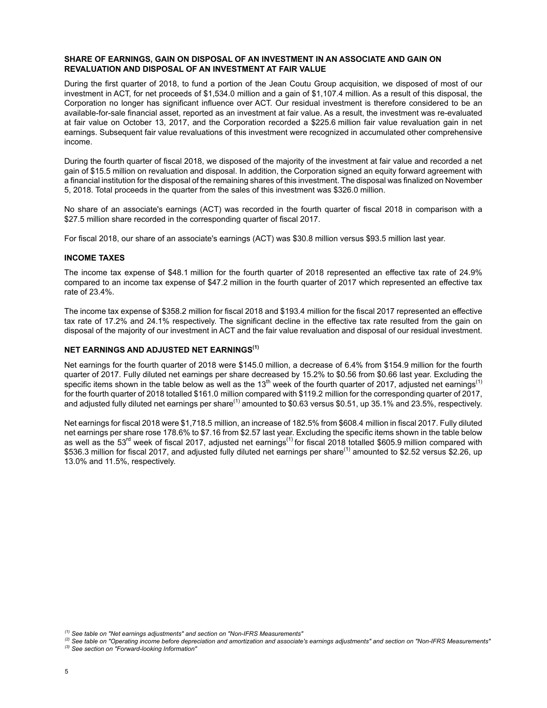#### **SHARE OF EARNINGS, GAIN ON DISPOSAL OF AN INVESTMENT IN AN ASSOCIATE AND GAIN ON REVALUATION AND DISPOSAL OF AN INVESTMENT AT FAIR VALUE**

During the first quarter of 2018, to fund a portion of the Jean Coutu Group acquisition, we disposed of most of our investment in ACT, for net proceeds of \$1,534.0 million and a gain of \$1,107.4 million. As a result of this disposal, the Corporation no longer has significant influence over ACT. Our residual investment is therefore considered to be an available-for-sale financial asset, reported as an investment at fair value. As a result, the investment was re-evaluated at fair value on October 13, 2017, and the Corporation recorded a \$225.6 million fair value revaluation gain in net earnings. Subsequent fair value revaluations of this investment were recognized in accumulated other comprehensive income.

During the fourth quarter of fiscal 2018, we disposed of the majority of the investment at fair value and recorded a net gain of \$15.5 million on revaluation and disposal. In addition, the Corporation signed an equity forward agreement with a financial institution for the disposal of the remaining shares of this investment. The disposal was finalized on November 5, 2018. Total proceeds in the quarter from the sales of this investment was \$326.0 million.

No share of an associate's earnings (ACT) was recorded in the fourth quarter of fiscal 2018 in comparison with a \$27.5 million share recorded in the corresponding quarter of fiscal 2017.

For fiscal 2018, our share of an associate's earnings (ACT) was \$30.8 million versus \$93.5 million last year.

#### **INCOME TAXES**

The income tax expense of \$48.1 million for the fourth quarter of 2018 represented an effective tax rate of 24.9% compared to an income tax expense of \$47.2 million in the fourth quarter of 2017 which represented an effective tax rate of 23.4%.

The income tax expense of \$358.2 million for fiscal 2018 and \$193.4 million for the fiscal 2017 represented an effective tax rate of 17.2% and 24.1% respectively. The significant decline in the effective tax rate resulted from the gain on disposal of the majority of our investment in ACT and the fair value revaluation and disposal of our residual investment.

#### **NET EARNINGS AND ADJUSTED NET EARNINGS(1)**

Net earnings for the fourth quarter of 2018 were \$145.0 million, a decrease of 6.4% from \$154.9 million for the fourth quarter of 2017. Fully diluted net earnings per share decreased by 15.2% to \$0.56 from \$0.66 last year. Excluding the specific items shown in the table below as well as the 13<sup>th</sup> week of the fourth quarter of 2017, adjusted net earnings<sup>(1)</sup> for the fourth quarter of 2018 totalled \$161.0 million compared with \$119.2 million for the corresponding quarter of 2017, and adjusted fully diluted net earnings per share<sup>(1)</sup> amounted to \$0.63 versus \$0.51, up 35.1% and 23.5%, respectively.

Net earnings for fiscal 2018 were \$1,718.5 million, an increase of 182.5% from \$608.4 million in fiscal 2017. Fully diluted net earnings per share rose 178.6% to \$7.16 from \$2.57 last year. Excluding the specific items shown in the table below as well as the 53<sup>rd</sup> week of fiscal 2017, adjusted net earnings<sup>(1)</sup> for fiscal 2018 totalled \$605.9 million compared with \$536.3 million for fiscal 2017, and adjusted fully diluted net earnings per share<sup>(1)</sup> amounted to \$2.52 versus \$2.26, up 13.0% and 11.5%, respectively.

- *(2) See table on "Operating income before depreciation and amortization and associate's earnings adjustments" and section on "Non-IFRS Measurements"*
- *(3) See section on "Forward-looking Information"*

*<sup>(1)</sup> See table on "Net earnings adjustments" and section on "Non-IFRS Measurements"*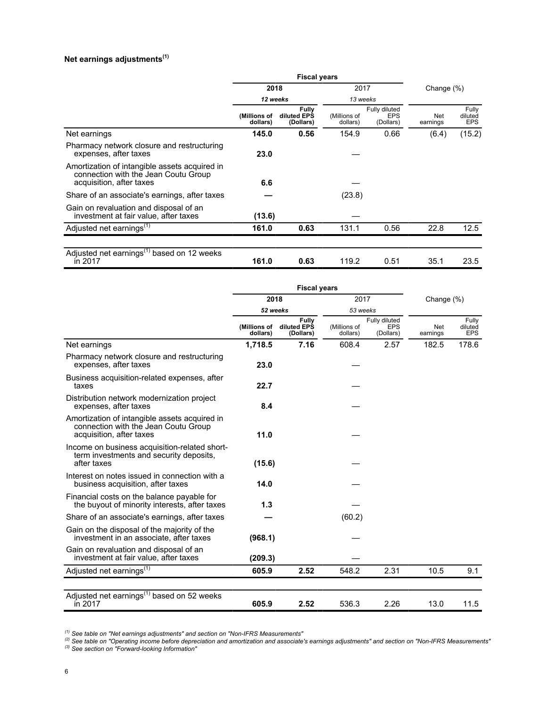## **Net earnings adjustments(1)**

|                                                                                                                   | <b>Fiscal years</b>      |                                          |                          |                                          |                 |                         |  |
|-------------------------------------------------------------------------------------------------------------------|--------------------------|------------------------------------------|--------------------------|------------------------------------------|-----------------|-------------------------|--|
|                                                                                                                   | 2018                     |                                          | 2017                     |                                          | Change $(\%)$   |                         |  |
|                                                                                                                   | 12 weeks                 |                                          | 13 weeks                 |                                          |                 |                         |  |
|                                                                                                                   | (Millions of<br>dollars) | <b>Fully</b><br>diluted EPS<br>(Dollars) | (Millions of<br>dollars) | Fully diluted<br><b>EPS</b><br>(Dollars) | Net<br>earnings | Fully<br>diluted<br>EPS |  |
| Net earnings                                                                                                      | 145.0                    | 0.56                                     | 154.9                    | 0.66                                     | (6.4)           | (15.2)                  |  |
| Pharmacy network closure and restructuring<br>expenses, after taxes                                               | 23.0                     |                                          |                          |                                          |                 |                         |  |
| Amortization of intangible assets acquired in<br>connection with the Jean Coutu Group<br>acquisition, after taxes | 6.6                      |                                          |                          |                                          |                 |                         |  |
| Share of an associate's earnings, after taxes                                                                     |                          |                                          | (23.8)                   |                                          |                 |                         |  |
| Gain on revaluation and disposal of an<br>investment at fair value, after taxes                                   | (13.6)                   |                                          |                          |                                          |                 |                         |  |
| Adjusted net earnings <sup>(1)</sup>                                                                              | 161.0                    | 0.63                                     | 131.1                    | 0.56                                     | 22.8            | 12.5                    |  |
|                                                                                                                   |                          |                                          |                          |                                          |                 |                         |  |
| Adjusted net earnings <sup>(1)</sup> based on 12 weeks<br>in 2017                                                 | 161.0                    | 0.63                                     | 119.2                    | 0.51                                     | 35.1            | 23.5                    |  |

|                                                                                                                   | <b>Fiscal years</b>      |                                   |                          |                                          |                 |                                |  |
|-------------------------------------------------------------------------------------------------------------------|--------------------------|-----------------------------------|--------------------------|------------------------------------------|-----------------|--------------------------------|--|
|                                                                                                                   | 2018                     |                                   | 2017                     |                                          | Change (%)      |                                |  |
|                                                                                                                   | 52 weeks                 |                                   | 53 weeks                 |                                          |                 |                                |  |
|                                                                                                                   | (Millions of<br>dollars) | Fully<br>diluted EPS<br>(Dollars) | (Millions of<br>dollars) | Fully diluted<br><b>EPS</b><br>(Dollars) | Net<br>earnings | Fully<br>diluted<br><b>EPS</b> |  |
| Net earnings                                                                                                      | 1,718.5                  | 7.16                              | 608.4                    | 2.57                                     | 182.5           | 178.6                          |  |
| Pharmacy network closure and restructuring<br>expenses, after taxes                                               | 23.0                     |                                   |                          |                                          |                 |                                |  |
| Business acquisition-related expenses, after<br>taxes                                                             | 22.7                     |                                   |                          |                                          |                 |                                |  |
| Distribution network modernization project<br>expenses, after taxes                                               | 8.4                      |                                   |                          |                                          |                 |                                |  |
| Amortization of intangible assets acquired in<br>connection with the Jean Coutu Group<br>acquisition, after taxes | 11.0                     |                                   |                          |                                          |                 |                                |  |
| Income on business acquisition-related short-<br>term investments and security deposits,<br>after taxes           | (15.6)                   |                                   |                          |                                          |                 |                                |  |
| Interest on notes issued in connection with a<br>business acquisition, after taxes                                | 14.0                     |                                   |                          |                                          |                 |                                |  |
| Financial costs on the balance payable for<br>the buyout of minority interests, after taxes                       | 1.3                      |                                   |                          |                                          |                 |                                |  |
| Share of an associate's earnings, after taxes                                                                     |                          |                                   | (60.2)                   |                                          |                 |                                |  |
| Gain on the disposal of the majority of the<br>investment in an associate, after taxes                            | (968.1)                  |                                   |                          |                                          |                 |                                |  |
| Gain on revaluation and disposal of an<br>investment at fair value, after taxes                                   | (209.3)                  |                                   |                          |                                          |                 |                                |  |
| Adjusted net earnings <sup>(1)</sup>                                                                              | 605.9                    | 2.52                              | 548.2                    | 2.31                                     | 10.5            | 9.1                            |  |
| Adjusted net earnings <sup>(1)</sup> based on 52 weeks<br>in 2017                                                 | 605.9                    | 2.52                              | 536.3                    | 2.26                                     | 13.0            | 11.5                           |  |

*(1) See table on "Net earnings adjustments" and section on "Non-IFRS Measurements"*

*(2) See table on "Operating income before depreciation and amortization and associate's earnings adjustments" and section on "Non-IFRS Measurements" (3) See section on "Forward-looking Information"*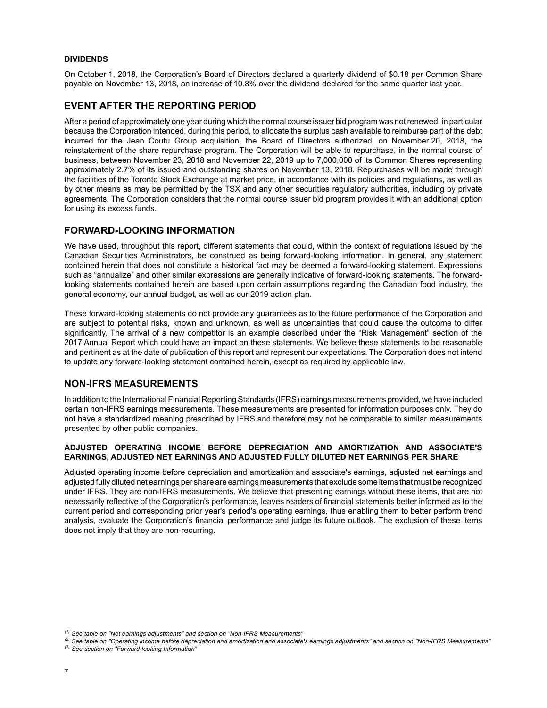#### **DIVIDENDS**

On October 1, 2018, the Corporation's Board of Directors declared a quarterly dividend of \$0.18 per Common Share payable on November 13, 2018, an increase of 10.8% over the dividend declared for the same quarter last year.

## **EVENT AFTER THE REPORTING PERIOD**

After a period of approximately one year during which the normal course issuer bid program was not renewed, in particular because the Corporation intended, during this period, to allocate the surplus cash available to reimburse part of the debt incurred for the Jean Coutu Group acquisition, the Board of Directors authorized, on November 20, 2018, the reinstatement of the share repurchase program. The Corporation will be able to repurchase, in the normal course of business, between November 23, 2018 and November 22, 2019 up to 7,000,000 of its Common Shares representing approximately 2.7% of its issued and outstanding shares on November 13, 2018. Repurchases will be made through the facilities of the Toronto Stock Exchange at market price, in accordance with its policies and regulations, as well as by other means as may be permitted by the TSX and any other securities regulatory authorities, including by private agreements. The Corporation considers that the normal course issuer bid program provides it with an additional option for using its excess funds.

## **FORWARD-LOOKING INFORMATION**

We have used, throughout this report, different statements that could, within the context of regulations issued by the Canadian Securities Administrators, be construed as being forward-looking information. In general, any statement contained herein that does not constitute a historical fact may be deemed a forward-looking statement. Expressions such as "annualize" and other similar expressions are generally indicative of forward-looking statements. The forwardlooking statements contained herein are based upon certain assumptions regarding the Canadian food industry, the general economy, our annual budget, as well as our 2019 action plan.

These forward-looking statements do not provide any guarantees as to the future performance of the Corporation and are subject to potential risks, known and unknown, as well as uncertainties that could cause the outcome to differ significantly. The arrival of a new competitor is an example described under the "Risk Management" section of the 2017 Annual Report which could have an impact on these statements. We believe these statements to be reasonable and pertinent as at the date of publication of this report and represent our expectations. The Corporation does not intend to update any forward-looking statement contained herein, except as required by applicable law.

## **NON-IFRS MEASUREMENTS**

In addition to the International Financial Reporting Standards (IFRS) earnings measurements provided, we have included certain non-IFRS earnings measurements. These measurements are presented for information purposes only. They do not have a standardized meaning prescribed by IFRS and therefore may not be comparable to similar measurements presented by other public companies.

#### **ADJUSTED OPERATING INCOME BEFORE DEPRECIATION AND AMORTIZATION AND ASSOCIATE'S EARNINGS, ADJUSTED NET EARNINGS AND ADJUSTED FULLY DILUTED NET EARNINGS PER SHARE**

Adjusted operating income before depreciation and amortization and associate's earnings, adjusted net earnings and adjusted fully diluted net earnings per share are earnings measurements that exclude some items that must be recognized under IFRS. They are non-IFRS measurements. We believe that presenting earnings without these items, that are not necessarily reflective of the Corporation's performance, leaves readers of financial statements better informed as to the current period and corresponding prior year's period's operating earnings, thus enabling them to better perform trend analysis, evaluate the Corporation's financial performance and judge its future outlook. The exclusion of these items does not imply that they are non-recurring.

*<sup>(1)</sup> See table on "Net earnings adjustments" and section on "Non-IFRS Measurements"*

*<sup>(2)</sup> See table on "Operating income before depreciation and amortization and associate's earnings adjustments" and section on "Non-IFRS Measurements" (3) See section on "Forward-looking Information"*